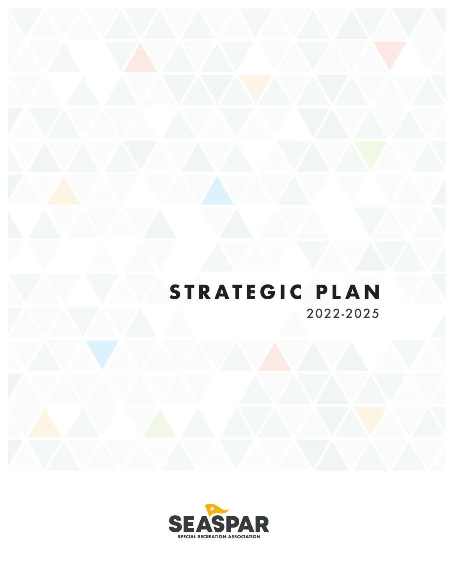# 2022-2025 **STRATEGIC PLAN**

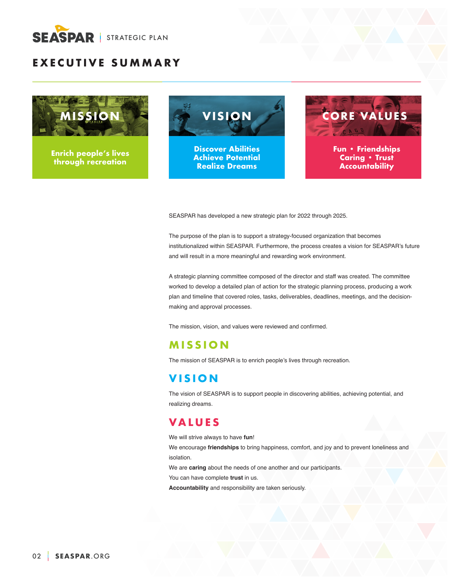

# **EXECUTIVE SUMMARY**



**Enrich people's lives through recreation**





SEASPAR has developed a new strategic plan for 2022 through 2025.

The purpose of the plan is to support a strategy-focused organization that becomes institutionalized within SEASPAR. Furthermore, the process creates a vision for SEASPAR's future and will result in a more meaningful and rewarding work environment.

A strategic planning committee composed of the director and staff was created. The committee worked to develop a detailed plan of action for the strategic planning process, producing a work plan and timeline that covered roles, tasks, deliverables, deadlines, meetings, and the decisionmaking and approval processes.

The mission, vision, and values were reviewed and confirmed.

## **MISSION**

The mission of SEASPAR is to enrich people's lives through recreation.

## **VISION**

The vision of SEASPAR is to support people in discovering abilities, achieving potential, and realizing dreams.

## **VALUES**

We will strive always to have **fun**!

We encourage **friendships** to bring happiness, comfort, and joy and to prevent loneliness and isolation.

We are **caring** about the needs of one another and our participants.

You can have complete **trust** in us.

**Accountability** and responsibility are taken seriously.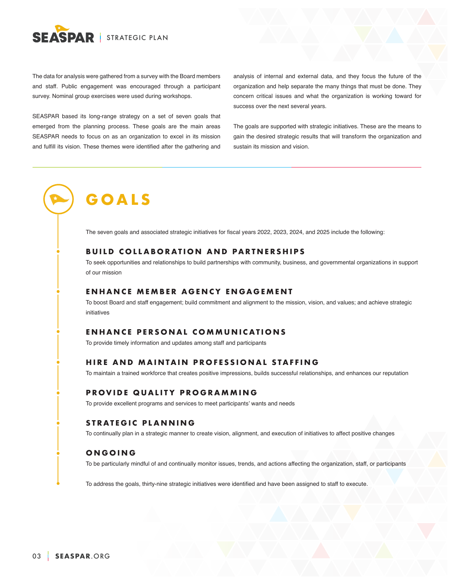

The data for analysis were gathered from a survey with the Board members and staff. Public engagement was encouraged through a participant survey. Nominal group exercises were used during workshops.

SEASPAR based its long-range strategy on a set of seven goals that emerged from the planning process. These goals are the main areas SEASPAR needs to focus on as an organization to excel in its mission and fulfill its vision. These themes were identified after the gathering and

analysis of internal and external data, and they focus the future of the organization and help separate the many things that must be done. They concern critical issues and what the organization is working toward for success over the next several years.

The goals are supported with strategic initiatives. These are the means to gain the desired strategic results that will transform the organization and sustain its mission and vision.

# **GOALS**

The seven goals and associated strategic initiatives for fiscal years 2022, 2023, 2024, and 2025 include the following:

## **BUILD COLLABORATION AND PARTNERSHIPS**

To seek opportunities and relationships to build partnerships with community, business, and governmental organizations in support of our mission

## **ENHANCE MEMBER AGENCY ENGAGEMENT**

To boost Board and staff engagement; build commitment and alignment to the mission, vision, and values; and achieve strategic initiatives

### **ENHANCE PERSONAL COMMUNICATIONS**

To provide timely information and updates among staff and participants

#### **HIRE AND MAINTAIN PROFESSIONAL STAFFING**

To maintain a trained workforce that creates positive impressions, builds successful relationships, and enhances our reputation

### **PROVIDE QUALITY PROGRAMMING**

To provide excellent programs and services to meet participants' wants and needs

## **STRATEGIC PLANNING**

To continually plan in a strategic manner to create vision, alignment, and execution of initiatives to affect positive changes

### **ONGOING**

To be particularly mindful of and continually monitor issues, trends, and actions affecting the organization, staff, or participants

To address the goals, thirty-nine strategic initiatives were identified and have been assigned to staff to execute.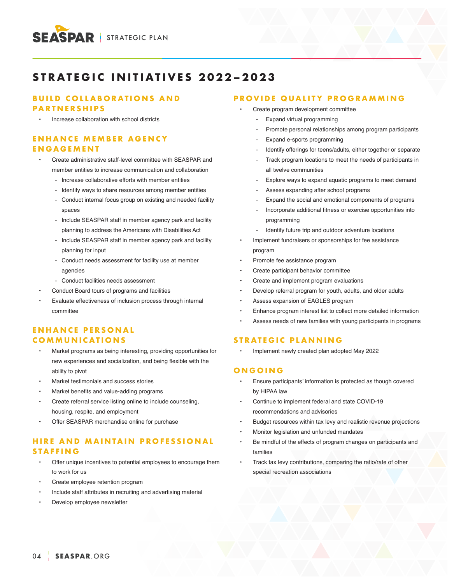

# **STRATEGIC INITIATIVES 2022–2023**

## **BUILD COLLABORATIONS AND PARTNERSHIPS**

• Increase collaboration with school districts

## **E N H A N C E M E M B E R A G E N C Y ENGAGEMENT**

- Create administrative staff-level committee with SEASPAR and member entities to increase communication and collaboration
	- Increase collaborative efforts with member entities
	- Identify ways to share resources among member entities
	- Conduct internal focus group on existing and needed facility spaces
	- Include SEASPAR staff in member agency park and facility planning to address the Americans with Disabilities Act
	- Include SEASPAR staff in member agency park and facility planning for input
	- Conduct needs assessment for facility use at member agencies
	- Conduct facilities needs assessment
- Conduct Board tours of programs and facilities
- Evaluate effectiveness of inclusion process through internal committee

## **ENHANCE PERSONAL COMMUNICATIONS**

- Market programs as being interesting, providing opportunities for new experiences and socialization, and being flexible with the ability to pivot
- Market testimonials and success stories
- Market benefits and value-adding programs
- Create referral service listing online to include counseling, housing, respite, and employment
- Offer SEASPAR merchandise online for purchase

## **HIRE AND MAINTAIN PROFESSIONAL STAFFING**

- Offer unique incentives to potential employees to encourage them to work for us
- Create employee retention program
- Include staff attributes in recruiting and advertising material
- Develop employee newsletter

## **PROVIDE QUALITY PROGRAMMING**

- Create program development committee
	- Expand virtual programming
	- Promote personal relationships among program participants
	- Expand e-sports programming
	- Identify offerings for teens/adults, either together or separate
	- Track program locations to meet the needs of participants in all twelve communities
	- Explore ways to expand aquatic programs to meet demand
	- Assess expanding after school programs
	- Expand the social and emotional components of programs
	- Incorporate additional fitness or exercise opportunities into programming
	- Identify future trip and outdoor adventure locations
- Implement fundraisers or sponsorships for fee assistance program
- Promote fee assistance program
- Create participant behavior committee
- Create and implement program evaluations
- Develop referral program for youth, adults, and older adults
- Assess expansion of EAGLES program
- Enhance program interest list to collect more detailed information
- Assess needs of new families with young participants in programs

#### **STRATEGIC PLANNING**

• Implement newly created plan adopted May 2022

### **ONGOING**

- Ensure participants' information is protected as though covered by HIPAA law
- Continue to implement federal and state COVID-19 recommendations and advisories
- Budget resources within tax levy and realistic revenue projections
- Monitor legislation and unfunded mandates
- Be mindful of the effects of program changes on participants and families
- Track tax levy contributions, comparing the ratio/rate of other special recreation associations